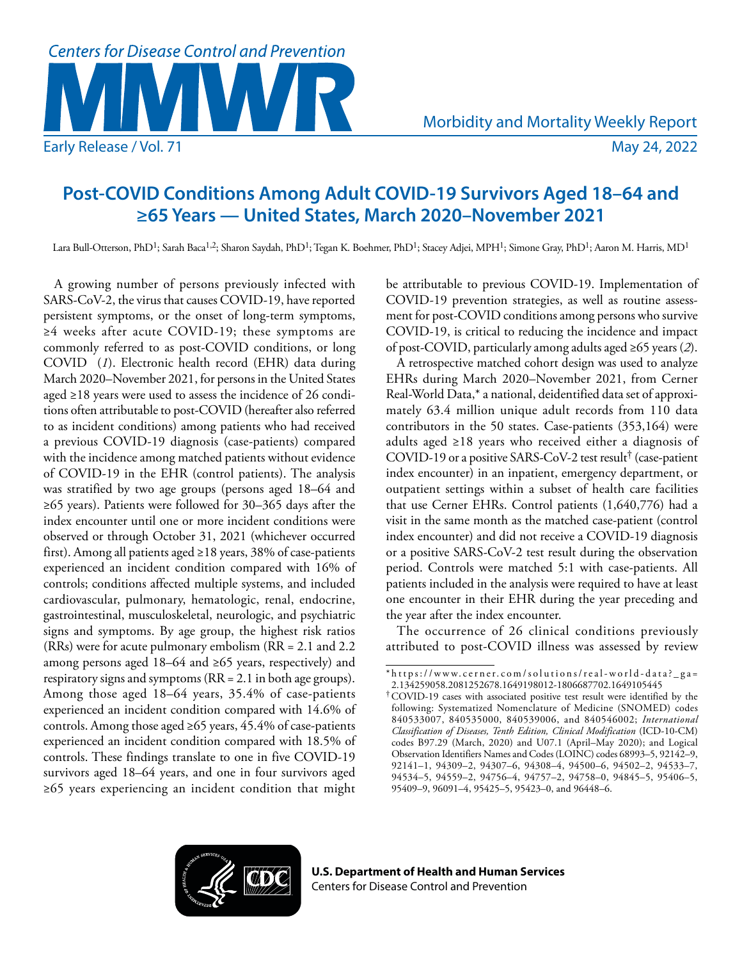

# **Post-COVID Conditions Among Adult COVID-19 Survivors Aged 18–64 and ≥65 Years — United States, March 2020–November 2021**

Lara Bull-Otterson, PhD<sup>1</sup>; Sarah Baca<sup>1,2</sup>; Sharon Saydah, PhD<sup>1</sup>; Tegan K. Boehmer, PhD<sup>1</sup>; Stacey Adjei, MPH<sup>1</sup>; Simone Gray, PhD<sup>1</sup>; Aaron M. Harris, MD<sup>1</sup>

A growing number of persons previously infected with SARS-CoV-2, the virus that causes COVID-19, have reported persistent symptoms, or the onset of long-term symptoms, ≥4 weeks after acute COVID-19; these symptoms are commonly referred to as post-COVID conditions, or long COVID (*1*). Electronic health record (EHR) data during March 2020–November 2021, for persons in the United States aged ≥18 years were used to assess the incidence of 26 conditions often attributable to post-COVID (hereafter also referred to as incident conditions) among patients who had received a previous COVID-19 diagnosis (case-patients) compared with the incidence among matched patients without evidence of COVID-19 in the EHR (control patients). The analysis was stratified by two age groups (persons aged 18–64 and ≥65 years). Patients were followed for 30–365 days after the index encounter until one or more incident conditions were observed or through October 31, 2021 (whichever occurred first). Among all patients aged ≥18 years, 38% of case-patients experienced an incident condition compared with 16% of controls; conditions affected multiple systems, and included cardiovascular, pulmonary, hematologic, renal, endocrine, gastrointestinal, musculoskeletal, neurologic, and psychiatric signs and symptoms. By age group, the highest risk ratios (RRs) were for acute pulmonary embolism (RR = 2.1 and 2.2 among persons aged 18–64 and ≥65 years, respectively) and respiratory signs and symptoms (RR = 2.1 in both age groups). Among those aged 18–64 years, 35.4% of case-patients experienced an incident condition compared with 14.6% of controls. Among those aged ≥65 years, 45.4% of case-patients experienced an incident condition compared with 18.5% of controls. These findings translate to one in five COVID-19 survivors aged 18–64 years, and one in four survivors aged ≥65 years experiencing an incident condition that might

be attributable to previous COVID-19. Implementation of COVID-19 prevention strategies, as well as routine assessment for post-COVID conditions among persons who survive COVID-19, is critical to reducing the incidence and impact of post-COVID, particularly among adults aged ≥65 years (*2*).

A retrospective matched cohort design was used to analyze EHRs during March 2020–November 2021, from Cerner Real-World Data,\* a national, deidentified data set of approximately 63.4 million unique adult records from 110 data contributors in the 50 states. Case-patients (353,164) were adults aged ≥18 years who received either a diagnosis of COVID-19 or a positive SARS-CoV-2 test result† (case-patient index encounter) in an inpatient, emergency department, or outpatient settings within a subset of health care facilities that use Cerner EHRs. Control patients (1,640,776) had a visit in the same month as the matched case-patient (control index encounter) and did not receive a COVID-19 diagnosis or a positive SARS-CoV-2 test result during the observation period. Controls were matched 5:1 with case-patients. All patients included in the analysis were required to have at least one encounter in their EHR during the year preceding and the year after the index encounter.

The occurrence of 26 clinical conditions previously attributed to post-COVID illness was assessed by review



<sup>\*</sup> [https://www.cerner.com/solutions/real-world-data?\\_ga=](https://www.cerner.com/solutions/real-world-data?_ga=2.134259058.2081252678.1649198012-1806687702.1649105445) [2.134259058.2081252678.1649198012-1806687702.1649105445](https://www.cerner.com/solutions/real-world-data?_ga=2.134259058.2081252678.1649198012-1806687702.1649105445)

<sup>†</sup>COVID-19 cases with associated positive test result were identified by the following: Systematized Nomenclature of Medicine (SNOMED) codes 840533007, 840535000, 840539006, and 840546002; *International Classification of Diseases, Tenth Edition, Clinical Modification* (ICD-10-CM) codes B97.29 (March, 2020) and U07.1 (April–May 2020); and Logical Observation Identifiers Names and Codes (LOINC) codes 68993–5, 92142–9, 92141–1, 94309–2, 94307–6, 94308–4, 94500–6, 94502–2, 94533–7, 94534–5, 94559–2, 94756–4, 94757–2, 94758–0, 94845–5, 95406–5, 95409–9, 96091–4, 95425–5, 95423–0, and 96448–6.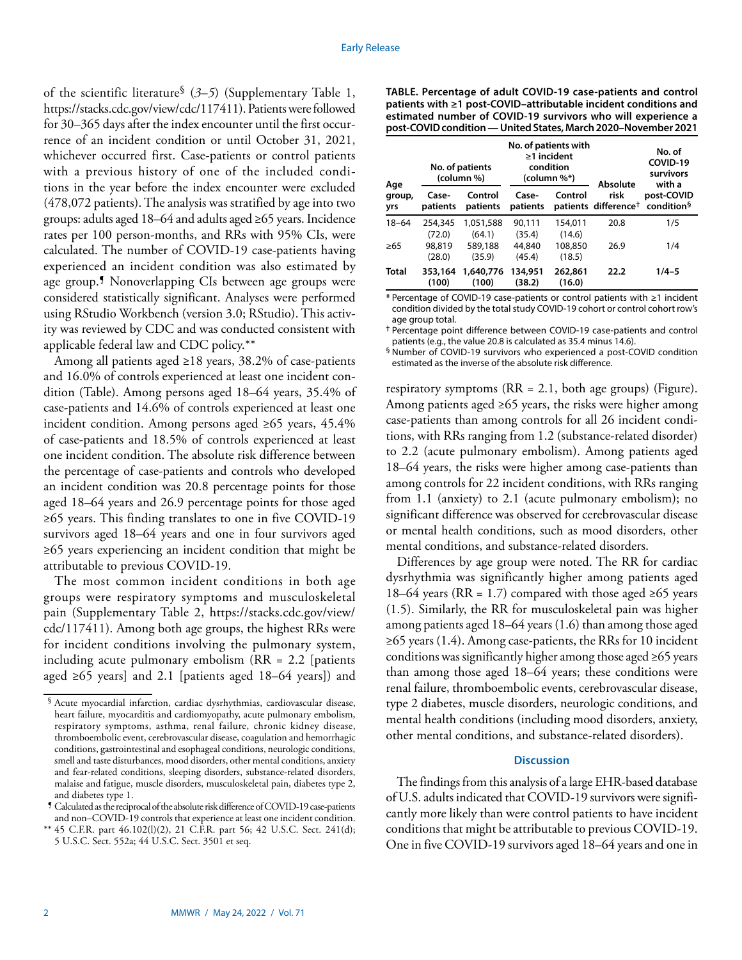of the scientific literature§ (*3*–*5*) (Supplementary Table 1, <https://stacks.cdc.gov/view/cdc/117411>). Patients were followed for 30–365 days after the index encounter until the first occurrence of an incident condition or until October 31, 2021, whichever occurred first. Case-patients or control patients with a previous history of one of the included conditions in the year before the index encounter were excluded (478,072 patients). The analysis was stratified by age into two groups: adults aged 18–64 and adults aged ≥65 years. Incidence rates per 100 person-months, and RRs with 95% CIs, were calculated. The number of COVID-19 case-patients having experienced an incident condition was also estimated by age group.¶ Nonoverlapping CIs between age groups were considered statistically significant. Analyses were performed using RStudio Workbench (version 3.0; RStudio). This activity was reviewed by CDC and was conducted consistent with applicable federal law and CDC policy.\*\*

Among all patients aged ≥18 years, 38.2% of case-patients and 16.0% of controls experienced at least one incident condition (Table). Among persons aged 18–64 years, 35.4% of case-patients and 14.6% of controls experienced at least one incident condition. Among persons aged ≥65 years, 45.4% of case-patients and 18.5% of controls experienced at least one incident condition. The absolute risk difference between the percentage of case-patients and controls who developed an incident condition was 20.8 percentage points for those aged 18–64 years and 26.9 percentage points for those aged ≥65 years. This finding translates to one in five COVID-19 survivors aged 18–64 years and one in four survivors aged ≥65 years experiencing an incident condition that might be attributable to previous COVID-19.

The most common incident conditions in both age groups were respiratory symptoms and musculoskeletal pain (Supplementary Table 2, [https://stacks.cdc.gov/view/](https://stacks.cdc.gov/view/cdc/117411) [cdc/117411\)](https://stacks.cdc.gov/view/cdc/117411). Among both age groups, the highest RRs were for incident conditions involving the pulmonary system, including acute pulmonary embolism  $(RR = 2.2$  [patients aged  $\geq 65$  years] and 2.1 [patients aged 18–64 years]) and

¶ Calculated as the reciprocal of the absolute risk difference of COVID-19 case-patients and non–COVID-19 controls that experience at least one incident condition. **TABLE. Percentage of adult COVID-19 case-patients and control patients with ≥1 post-COVID–attributable incident conditions and estimated number of COVID-19 survivors who will experience a post-COVID condition — United States, March 2020–November 2021**

| Age           | No. of patients<br>(column %) |                     | No. of patients with<br>$\geq$ 1 incident<br>condition<br>$(column 96*)$ |                   | Absolute                                 | No. of<br>COVID-19<br>survivors<br>with a |
|---------------|-------------------------------|---------------------|--------------------------------------------------------------------------|-------------------|------------------------------------------|-------------------------------------------|
| group,<br>yrs | Case-<br>patients             | Control<br>patients | Case-<br>patients                                                        | Control           | risk<br>patients difference <sup>†</sup> | post-COVID<br>condition <sup>§</sup>      |
| $18 - 64$     | 254,345<br>(72.0)             | 1.051.588<br>(64.1) | 90.111<br>(35.4)                                                         | 154,011<br>(14.6) | 20.8                                     | 1/5                                       |
| >65           | 98,819<br>(28.0)              | 589,188<br>(35.9)   | 44,840<br>(45.4)                                                         | 108,850<br>(18.5) | 26.9                                     | 1/4                                       |
| <b>Total</b>  | 353,164<br>(100)              | 1,640,776<br>(100)  | 134,951<br>(38.2)                                                        | 262,861<br>(16.0) | 22.2                                     | $1/4 - 5$                                 |

**\*** Percentage of COVID-19 case-patients or control patients with ≥1 incident condition divided by the total study COVID-19 cohort or control cohort row's age group total.

**†** Percentage point difference between COVID-19 case-patients and control patients (e.g., the value 20.8 is calculated as 35.4 minus 14.6).

§ Number of COVID-19 survivors who experienced a post-COVID condition estimated as the inverse of the absolute risk difference.

respiratory symptoms ( $RR = 2.1$ , both age groups) (Figure). Among patients aged ≥65 years, the risks were higher among case-patients than among controls for all 26 incident conditions, with RRs ranging from 1.2 (substance-related disorder) to 2.2 (acute pulmonary embolism). Among patients aged 18–64 years, the risks were higher among case-patients than among controls for 22 incident conditions, with RRs ranging from 1.1 (anxiety) to 2.1 (acute pulmonary embolism); no significant difference was observed for cerebrovascular disease or mental health conditions, such as mood disorders, other mental conditions, and substance-related disorders.

Differences by age group were noted. The RR for cardiac dysrhythmia was significantly higher among patients aged 18–64 years (RR = 1.7) compared with those aged ≥65 years (1.5). Similarly, the RR for musculoskeletal pain was higher among patients aged 18–64 years (1.6) than among those aged ≥65 years (1.4). Among case-patients, the RRs for 10 incident conditions was significantly higher among those aged ≥65 years than among those aged 18–64 years; these conditions were renal failure, thromboembolic events, cerebrovascular disease, type 2 diabetes, muscle disorders, neurologic conditions, and mental health conditions (including mood disorders, anxiety, other mental conditions, and substance-related disorders).

## **Discussion**

The findings from this analysis of a large EHR-based database of U.S. adults indicated that COVID-19 survivors were significantly more likely than were control patients to have incident conditions that might be attributable to previous COVID-19. One in five COVID-19 survivors aged 18–64 years and one in

<sup>§</sup> Acute myocardial infarction, cardiac dysrhythmias, cardiovascular disease, heart failure, myocarditis and cardiomyopathy, acute pulmonary embolism, respiratory symptoms, asthma, renal failure, chronic kidney disease, thromboembolic event, cerebrovascular disease, coagulation and hemorrhagic conditions, gastrointestinal and esophageal conditions, neurologic conditions, smell and taste disturbances, mood disorders, other mental conditions, anxiety and fear-related conditions, sleeping disorders, substance-related disorders, malaise and fatigue, muscle disorders, musculoskeletal pain, diabetes type 2, and diabetes type 1.

<sup>\*\*</sup> 45 C.F.R. part 46.102(l)(2), 21 C.F.R. part 56; 42 U.S.C. Sect. 241(d); 5 U.S.C. Sect. 552a; 44 U.S.C. Sect. 3501 et seq.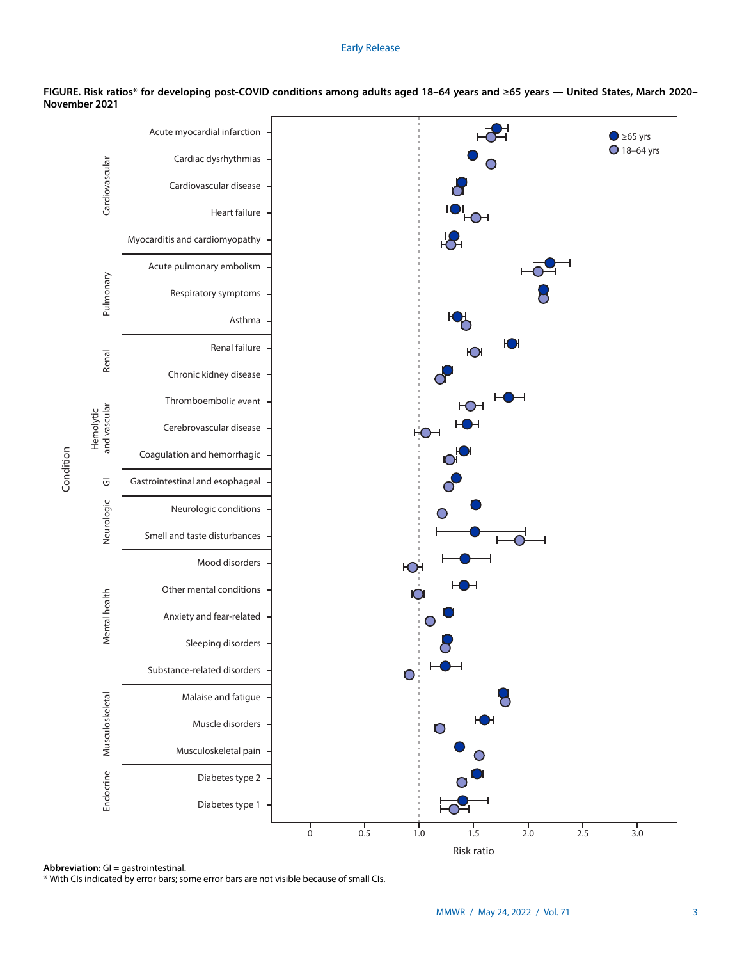### Early Release



**FIGURE. Risk ratios\* for developing post-COVID conditions among adults aged 18–64 years and ≥65 years — United States, March 2020– November 2021**

Condition Condition

**Abbreviation:** GI = gastrointestinal.

\* With CIs indicated by error bars; some error bars are not visible because of small CIs.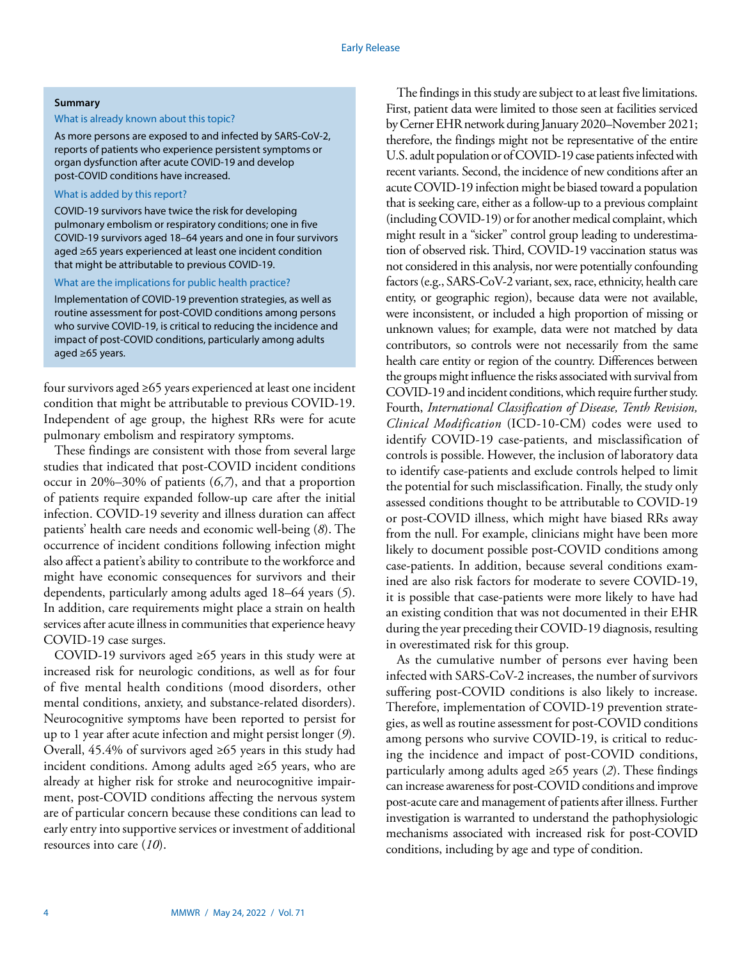#### **Summary**

### What is already known about this topic?

As more persons are exposed to and infected by SARS-CoV-2, reports of patients who experience persistent symptoms or organ dysfunction after acute COVID-19 and develop post-COVID conditions have increased.

## What is added by this report?

COVID-19 survivors have twice the risk for developing pulmonary embolism or respiratory conditions; one in five COVID-19 survivors aged 18–64 years and one in four survivors aged ≥65 years experienced at least one incident condition that might be attributable to previous COVID-19.

#### What are the implications for public health practice?

Implementation of COVID-19 prevention strategies, as well as routine assessment for post-COVID conditions among persons who survive COVID-19, is critical to reducing the incidence and impact of post-COVID conditions, particularly among adults aged ≥65 years.

four survivors aged ≥65 years experienced at least one incident condition that might be attributable to previous COVID-19. Independent of age group, the highest RRs were for acute pulmonary embolism and respiratory symptoms.

These findings are consistent with those from several large studies that indicated that post-COVID incident conditions occur in 20%–30% of patients (*6*,*7*), and that a proportion of patients require expanded follow-up care after the initial infection. COVID-19 severity and illness duration can affect patients' health care needs and economic well-being (*8*). The occurrence of incident conditions following infection might also affect a patient's ability to contribute to the workforce and might have economic consequences for survivors and their dependents, particularly among adults aged 18–64 years (*5*). In addition, care requirements might place a strain on health services after acute illness in communities that experience heavy COVID-19 case surges.

COVID-19 survivors aged ≥65 years in this study were at increased risk for neurologic conditions, as well as for four of five mental health conditions (mood disorders, other mental conditions, anxiety, and substance-related disorders). Neurocognitive symptoms have been reported to persist for up to 1 year after acute infection and might persist longer (*9*). Overall, 45.4% of survivors aged ≥65 years in this study had incident conditions. Among adults aged ≥65 years, who are already at higher risk for stroke and neurocognitive impairment, post-COVID conditions affecting the nervous system are of particular concern because these conditions can lead to early entry into supportive services or investment of additional resources into care (*10*).

The findings in this study are subject to at least five limitations. First, patient data were limited to those seen at facilities serviced by Cerner EHR network during January 2020–November 2021; therefore, the findings might not be representative of the entire U.S. adult population or of COVID-19 case patients infected with recent variants. Second, the incidence of new conditions after an acute COVID-19 infection might be biased toward a population that is seeking care, either as a follow-up to a previous complaint (including COVID-19) or for another medical complaint, which might result in a "sicker" control group leading to underestimation of observed risk. Third, COVID-19 vaccination status was not considered in this analysis, nor were potentially confounding factors (e.g., SARS-CoV-2 variant, sex, race, ethnicity, health care entity, or geographic region), because data were not available, were inconsistent, or included a high proportion of missing or unknown values; for example, data were not matched by data contributors, so controls were not necessarily from the same health care entity or region of the country. Differences between the groups might influence the risks associated with survival from COVID-19 and incident conditions, which require further study. Fourth, *International Classification of Disease, Tenth Revision, Clinical Modification* (ICD-10-CM) codes were used to identify COVID-19 case-patients, and misclassification of controls is possible. However, the inclusion of laboratory data to identify case-patients and exclude controls helped to limit the potential for such misclassification. Finally, the study only assessed conditions thought to be attributable to COVID-19 or post-COVID illness, which might have biased RRs away from the null. For example, clinicians might have been more likely to document possible post-COVID conditions among case-patients. In addition, because several conditions examined are also risk factors for moderate to severe COVID-19, it is possible that case-patients were more likely to have had an existing condition that was not documented in their EHR during the year preceding their COVID-19 diagnosis, resulting in overestimated risk for this group.

As the cumulative number of persons ever having been infected with SARS-CoV-2 increases, the number of survivors suffering post-COVID conditions is also likely to increase. Therefore, implementation of COVID-19 prevention strategies, as well as routine assessment for post-COVID conditions among persons who survive COVID-19, is critical to reducing the incidence and impact of post-COVID conditions, particularly among adults aged ≥65 years (*2*). These findings can increase awareness for post-COVID conditions and improve post-acute care and management of patients after illness. Further investigation is warranted to understand the pathophysiologic mechanisms associated with increased risk for post-COVID conditions, including by age and type of condition.